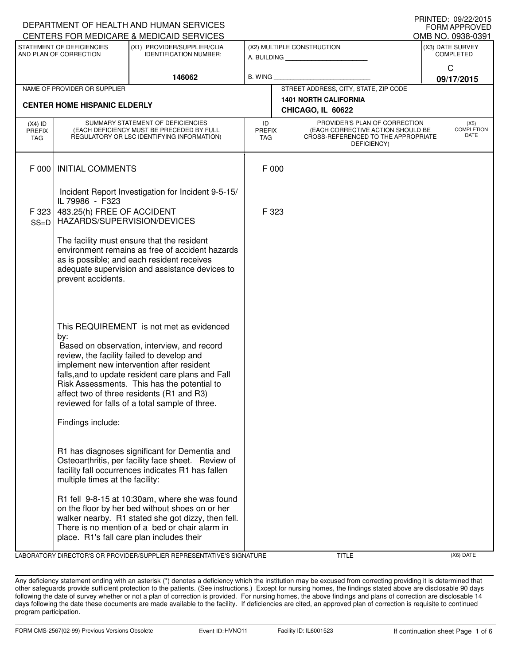| DEPARTMENT OF HEALTH AND HUMAN SERVICES |                                                                                                                                    | <b>I IUIN LLU, UJ/<i>LLIL</i>UIJ</b><br><b>FORM APPROVED</b>                                                                                                                                                                                                                                                                                                                          |                                                   |       |                                           |                                                                                                                                        |                   |  |  |
|-----------------------------------------|------------------------------------------------------------------------------------------------------------------------------------|---------------------------------------------------------------------------------------------------------------------------------------------------------------------------------------------------------------------------------------------------------------------------------------------------------------------------------------------------------------------------------------|---------------------------------------------------|-------|-------------------------------------------|----------------------------------------------------------------------------------------------------------------------------------------|-------------------|--|--|
|                                         |                                                                                                                                    | CENTERS FOR MEDICARE & MEDICAID SERVICES                                                                                                                                                                                                                                                                                                                                              |                                                   |       |                                           |                                                                                                                                        | OMB NO. 0938-0391 |  |  |
|                                         | STATEMENT OF DEFICIENCIES<br>AND PLAN OF CORRECTION                                                                                | (X1) PROVIDER/SUPPLIER/CLIA<br><b>IDENTIFICATION NUMBER:</b>                                                                                                                                                                                                                                                                                                                          |                                                   |       | (X2) MULTIPLE CONSTRUCTION<br>A. BUILDING | (X3) DATE SURVEY<br><b>COMPLETED</b>                                                                                                   |                   |  |  |
|                                         |                                                                                                                                    | 146062                                                                                                                                                                                                                                                                                                                                                                                | B. WING                                           |       |                                           | $\mathsf{C}$<br>09/17/2015                                                                                                             |                   |  |  |
|                                         | NAME OF PROVIDER OR SUPPLIER                                                                                                       |                                                                                                                                                                                                                                                                                                                                                                                       |                                                   |       | STREET ADDRESS, CITY, STATE, ZIP CODE     |                                                                                                                                        |                   |  |  |
|                                         | <b>CENTER HOME HISPANIC ELDERLY</b>                                                                                                |                                                                                                                                                                                                                                                                                                                                                                                       | <b>1401 NORTH CALIFORNIA</b><br>CHICAGO, IL 60622 |       |                                           |                                                                                                                                        |                   |  |  |
| $(X4)$ ID<br><b>PREFIX</b><br>TAG       | SUMMARY STATEMENT OF DEFICIENCIES<br>(EACH DEFICIENCY MUST BE PRECEDED BY FULL<br>REGULATORY OR LSC IDENTIFYING INFORMATION)       |                                                                                                                                                                                                                                                                                                                                                                                       | ID<br><b>PREFIX</b><br><b>TAG</b>                 |       | DEFICIENCY)                               | PROVIDER'S PLAN OF CORRECTION<br><b>COMPLETION</b><br>(EACH CORRECTIVE ACTION SHOULD BE<br>DATE<br>CROSS-REFERENCED TO THE APPROPRIATE |                   |  |  |
| F 000                                   | <b>INITIAL COMMENTS</b>                                                                                                            |                                                                                                                                                                                                                                                                                                                                                                                       | F 000                                             |       |                                           |                                                                                                                                        |                   |  |  |
| F 323<br>$SS=D$                         | Incident Report Investigation for Incident 9-5-15/<br>IL 79986 - F323<br>483.25(h) FREE OF ACCIDENT<br>HAZARDS/SUPERVISION/DEVICES |                                                                                                                                                                                                                                                                                                                                                                                       |                                                   | F 323 |                                           |                                                                                                                                        |                   |  |  |
|                                         | prevent accidents.                                                                                                                 | The facility must ensure that the resident<br>environment remains as free of accident hazards<br>as is possible; and each resident receives<br>adequate supervision and assistance devices to                                                                                                                                                                                         |                                                   |       |                                           |                                                                                                                                        |                   |  |  |
|                                         | by:<br>Findings include:                                                                                                           | This REQUIREMENT is not met as evidenced<br>Based on observation, interview, and record<br>review, the facility failed to develop and<br>implement new intervention after resident<br>falls, and to update resident care plans and Fall<br>Risk Assessments. This has the potential to<br>affect two of three residents (R1 and R3)<br>reviewed for falls of a total sample of three. |                                                   |       |                                           |                                                                                                                                        |                   |  |  |
|                                         | multiple times at the facility:                                                                                                    | R1 has diagnoses significant for Dementia and<br>Osteoarthritis, per facility face sheet. Review of<br>facility fall occurrences indicates R1 has fallen                                                                                                                                                                                                                              |                                                   |       |                                           |                                                                                                                                        |                   |  |  |
|                                         |                                                                                                                                    | R1 fell 9-8-15 at 10:30am, where she was found<br>on the floor by her bed without shoes on or her<br>walker nearby. R1 stated she got dizzy, then fell.<br>There is no mention of a bed or chair alarm in<br>place. R1's fall care plan includes their                                                                                                                                |                                                   |       |                                           |                                                                                                                                        |                   |  |  |

LABORATORY DIRECTOR'S OR PROVIDER/SUPPLIER REPRESENTATIVE'S SIGNATURE TITLE (X6) DATE

PRINTED: 09/22/2015

Any deficiency statement ending with an asterisk (\*) denotes a deficiency which the institution may be excused from correcting providing it is determined that other safeguards provide sufficient protection to the patients. (See instructions.) Except for nursing homes, the findings stated above are disclosable 90 days following the date of survey whether or not a plan of correction is provided. For nursing homes, the above findings and plans of correction are disclosable 14 days following the date these documents are made available to the facility. If deficiencies are cited, an approved plan of correction is requisite to continued program participation.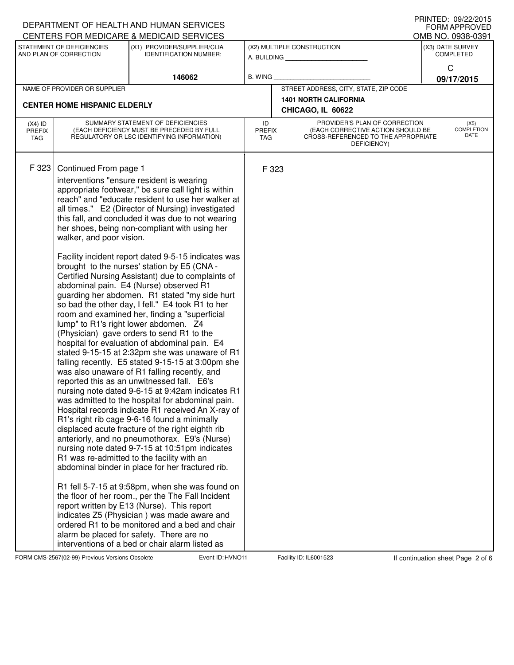|                                          |                                                     | DEPARTMENT OF HEALTH AND HUMAN SERVICES                                                                                                                                                                                                                                                                                                                                                                                                                                                                                                                                                                                                                                                                                                                                                                                                                                                                                                                                                                                                                                                                                                                                                                                                                                                                                                                                                                                                                                                                                                                                                                                                                                                                                                                                                                                                              |                            |       |                                                                                                                          | FORM APPROVED                     |
|------------------------------------------|-----------------------------------------------------|------------------------------------------------------------------------------------------------------------------------------------------------------------------------------------------------------------------------------------------------------------------------------------------------------------------------------------------------------------------------------------------------------------------------------------------------------------------------------------------------------------------------------------------------------------------------------------------------------------------------------------------------------------------------------------------------------------------------------------------------------------------------------------------------------------------------------------------------------------------------------------------------------------------------------------------------------------------------------------------------------------------------------------------------------------------------------------------------------------------------------------------------------------------------------------------------------------------------------------------------------------------------------------------------------------------------------------------------------------------------------------------------------------------------------------------------------------------------------------------------------------------------------------------------------------------------------------------------------------------------------------------------------------------------------------------------------------------------------------------------------------------------------------------------------------------------------------------------------|----------------------------|-------|--------------------------------------------------------------------------------------------------------------------------|-----------------------------------|
| CENTERS FOR MEDICARE & MEDICAID SERVICES |                                                     |                                                                                                                                                                                                                                                                                                                                                                                                                                                                                                                                                                                                                                                                                                                                                                                                                                                                                                                                                                                                                                                                                                                                                                                                                                                                                                                                                                                                                                                                                                                                                                                                                                                                                                                                                                                                                                                      |                            |       | OMB NO. 0938-0391<br>(X3) DATE SURVEY                                                                                    |                                   |
|                                          | STATEMENT OF DEFICIENCIES<br>AND PLAN OF CORRECTION | (X1) PROVIDER/SUPPLIER/CLIA<br><b>IDENTIFICATION NUMBER:</b>                                                                                                                                                                                                                                                                                                                                                                                                                                                                                                                                                                                                                                                                                                                                                                                                                                                                                                                                                                                                                                                                                                                                                                                                                                                                                                                                                                                                                                                                                                                                                                                                                                                                                                                                                                                         |                            |       | (X2) MULTIPLE CONSTRUCTION<br>A. BUILDING                                                                                | <b>COMPLETED</b>                  |
|                                          |                                                     | 146062                                                                                                                                                                                                                                                                                                                                                                                                                                                                                                                                                                                                                                                                                                                                                                                                                                                                                                                                                                                                                                                                                                                                                                                                                                                                                                                                                                                                                                                                                                                                                                                                                                                                                                                                                                                                                                               | B. WING                    |       |                                                                                                                          | C<br>09/17/2015                   |
|                                          | NAME OF PROVIDER OR SUPPLIER                        |                                                                                                                                                                                                                                                                                                                                                                                                                                                                                                                                                                                                                                                                                                                                                                                                                                                                                                                                                                                                                                                                                                                                                                                                                                                                                                                                                                                                                                                                                                                                                                                                                                                                                                                                                                                                                                                      |                            |       | STREET ADDRESS, CITY, STATE, ZIP CODE                                                                                    |                                   |
| <b>CENTER HOME HISPANIC ELDERLY</b>      |                                                     |                                                                                                                                                                                                                                                                                                                                                                                                                                                                                                                                                                                                                                                                                                                                                                                                                                                                                                                                                                                                                                                                                                                                                                                                                                                                                                                                                                                                                                                                                                                                                                                                                                                                                                                                                                                                                                                      |                            |       | <b>1401 NORTH CALIFORNIA</b><br>CHICAGO, IL 60622                                                                        |                                   |
| $(X4)$ ID<br><b>PREFIX</b><br>TAG        |                                                     | SUMMARY STATEMENT OF DEFICIENCIES<br>(EACH DEFICIENCY MUST BE PRECEDED BY FULL<br>REGULATORY OR LSC IDENTIFYING INFORMATION)                                                                                                                                                                                                                                                                                                                                                                                                                                                                                                                                                                                                                                                                                                                                                                                                                                                                                                                                                                                                                                                                                                                                                                                                                                                                                                                                                                                                                                                                                                                                                                                                                                                                                                                         | ID<br><b>PREFIX</b><br>TAG |       | PROVIDER'S PLAN OF CORRECTION<br>(EACH CORRECTIVE ACTION SHOULD BE<br>CROSS-REFERENCED TO THE APPROPRIATE<br>DEFICIENCY) | (X5)<br><b>COMPLETION</b><br>DATE |
| F 323                                    | Continued From page 1<br>walker, and poor vision.   | interventions "ensure resident is wearing<br>appropriate footwear," be sure call light is within<br>reach" and "educate resident to use her walker at<br>all times." E2 (Director of Nursing) investigated<br>this fall, and concluded it was due to not wearing<br>her shoes, being non-compliant with using her<br>Facility incident report dated 9-5-15 indicates was<br>brought to the nurses' station by E5 (CNA -<br>Certified Nursing Assistant) due to complaints of<br>abdominal pain. E4 (Nurse) observed R1<br>guarding her abdomen. R1 stated "my side hurt<br>so bad the other day, I fell." E4 took R1 to her<br>room and examined her, finding a "superficial<br>lump" to R1's right lower abdomen. Z4<br>(Physician) gave orders to send R1 to the<br>hospital for evaluation of abdominal pain. E4<br>stated 9-15-15 at 2:32pm she was unaware of R1<br>falling recently. E5 stated 9-15-15 at 3:00pm she<br>was also unaware of R1 falling recently, and<br>reported this as an unwitnessed fall. E6's<br>nursing note dated 9-6-15 at 9:42am indicates R1<br>was admitted to the hospital for abdominal pain.<br>Hospital records indicate R1 received An X-ray of<br>R1's right rib cage 9-6-16 found a minimally<br>displaced acute fracture of the right eighth rib<br>anteriorly, and no pneumothorax. E9's (Nurse)<br>nursing note dated 9-7-15 at 10:51pm indicates<br>R1 was re-admitted to the facility with an<br>abdominal binder in place for her fractured rib.<br>R1 fell 5-7-15 at 9:58pm, when she was found on<br>the floor of her room., per the The Fall Incident<br>report written by E13 (Nurse). This report<br>indicates Z5 (Physician) was made aware and<br>ordered R1 to be monitored and a bed and chair<br>alarm be placed for safety. There are no<br>interventions of a bed or chair alarm listed as |                            | F 323 |                                                                                                                          |                                   |

FORM CMS-2567(02-99) Previous Versions Obsolete Event ID: HVNO11 Facility ID: IL6001523 If continuation sheet Page 2 of 6

DEPARTMENT OF HEALTH AND HUMAN SERVICES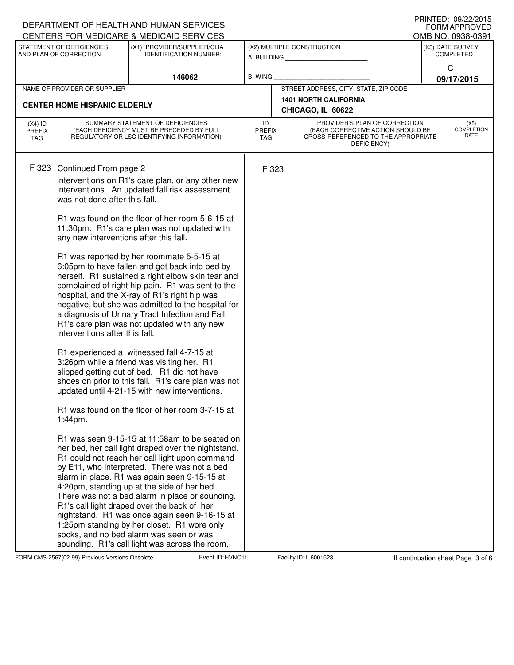|                                   |                                                                                                                                               | DEPARTMENT OF HEALTH AND HUMAN SERVICES<br>CENTERS FOR MEDICARE & MEDICAID SERVICES                                                                                                                                                                                                                                                                                                                                                                                                                                                                                                                                                                                                                                                                                                                                                                                                                                                                                                                                                                                                                                                                                                                                                                                                                                                                                                                                                                                                  |                                   |       |                                                                                                                          |                                      | FORM APPROVED                     |  |  |  |
|-----------------------------------|-----------------------------------------------------------------------------------------------------------------------------------------------|--------------------------------------------------------------------------------------------------------------------------------------------------------------------------------------------------------------------------------------------------------------------------------------------------------------------------------------------------------------------------------------------------------------------------------------------------------------------------------------------------------------------------------------------------------------------------------------------------------------------------------------------------------------------------------------------------------------------------------------------------------------------------------------------------------------------------------------------------------------------------------------------------------------------------------------------------------------------------------------------------------------------------------------------------------------------------------------------------------------------------------------------------------------------------------------------------------------------------------------------------------------------------------------------------------------------------------------------------------------------------------------------------------------------------------------------------------------------------------------|-----------------------------------|-------|--------------------------------------------------------------------------------------------------------------------------|--------------------------------------|-----------------------------------|--|--|--|
|                                   | STATEMENT OF DEFICIENCIES                                                                                                                     | (X1) PROVIDER/SUPPLIER/CLIA                                                                                                                                                                                                                                                                                                                                                                                                                                                                                                                                                                                                                                                                                                                                                                                                                                                                                                                                                                                                                                                                                                                                                                                                                                                                                                                                                                                                                                                          |                                   |       |                                                                                                                          |                                      | OMB NO. 0938-0391                 |  |  |  |
|                                   | AND PLAN OF CORRECTION                                                                                                                        | <b>IDENTIFICATION NUMBER:</b>                                                                                                                                                                                                                                                                                                                                                                                                                                                                                                                                                                                                                                                                                                                                                                                                                                                                                                                                                                                                                                                                                                                                                                                                                                                                                                                                                                                                                                                        |                                   |       | (X2) MULTIPLE CONSTRUCTION<br>A. BUILDING                                                                                | (X3) DATE SURVEY<br><b>COMPLETED</b> |                                   |  |  |  |
|                                   |                                                                                                                                               | 146062                                                                                                                                                                                                                                                                                                                                                                                                                                                                                                                                                                                                                                                                                                                                                                                                                                                                                                                                                                                                                                                                                                                                                                                                                                                                                                                                                                                                                                                                               | <b>B. WING</b>                    |       |                                                                                                                          |                                      | $\mathsf C$<br>09/17/2015         |  |  |  |
|                                   | NAME OF PROVIDER OR SUPPLIER                                                                                                                  |                                                                                                                                                                                                                                                                                                                                                                                                                                                                                                                                                                                                                                                                                                                                                                                                                                                                                                                                                                                                                                                                                                                                                                                                                                                                                                                                                                                                                                                                                      |                                   |       | STREET ADDRESS, CITY, STATE, ZIP CODE                                                                                    |                                      |                                   |  |  |  |
|                                   |                                                                                                                                               |                                                                                                                                                                                                                                                                                                                                                                                                                                                                                                                                                                                                                                                                                                                                                                                                                                                                                                                                                                                                                                                                                                                                                                                                                                                                                                                                                                                                                                                                                      |                                   |       | <b>1401 NORTH CALIFORNIA</b>                                                                                             |                                      |                                   |  |  |  |
|                                   | <b>CENTER HOME HISPANIC ELDERLY</b>                                                                                                           |                                                                                                                                                                                                                                                                                                                                                                                                                                                                                                                                                                                                                                                                                                                                                                                                                                                                                                                                                                                                                                                                                                                                                                                                                                                                                                                                                                                                                                                                                      | CHICAGO, IL 60622                 |       |                                                                                                                          |                                      |                                   |  |  |  |
| $(X4)$ ID<br><b>PREFIX</b><br>TAG |                                                                                                                                               | SUMMARY STATEMENT OF DEFICIENCIES<br>(EACH DEFICIENCY MUST BE PRECEDED BY FULL<br>REGULATORY OR LSC IDENTIFYING INFORMATION)                                                                                                                                                                                                                                                                                                                                                                                                                                                                                                                                                                                                                                                                                                                                                                                                                                                                                                                                                                                                                                                                                                                                                                                                                                                                                                                                                         | ID<br><b>PREFIX</b><br><b>TAG</b> |       | PROVIDER'S PLAN OF CORRECTION<br>(EACH CORRECTIVE ACTION SHOULD BE<br>CROSS-REFERENCED TO THE APPROPRIATE<br>DEFICIENCY) |                                      | (X5)<br><b>COMPLETION</b><br>DATE |  |  |  |
| F 323                             | Continued From page 2<br>was not done after this fall.<br>any new interventions after this fall.<br>interventions after this fall.<br>1:44pm. | interventions on R1's care plan, or any other new<br>interventions. An updated fall risk assessment<br>R1 was found on the floor of her room 5-6-15 at<br>11:30pm. R1's care plan was not updated with<br>R1 was reported by her roommate 5-5-15 at<br>6:05pm to have fallen and got back into bed by<br>herself. R1 sustained a right elbow skin tear and<br>complained of right hip pain. R1 was sent to the<br>hospital, and the X-ray of R1's right hip was<br>negative, but she was admitted to the hospital for<br>a diagnosis of Urinary Tract Infection and Fall.<br>R1's care plan was not updated with any new<br>R1 experienced a witnessed fall 4-7-15 at<br>3:26pm while a friend was visiting her. R1<br>slipped getting out of bed. R1 did not have<br>shoes on prior to this fall. R1's care plan was not<br>updated until 4-21-15 with new interventions.<br>R1 was found on the floor of her room 3-7-15 at<br>R1 was seen 9-15-15 at 11:58am to be seated on<br>her bed, her call light draped over the nightstand.<br>R1 could not reach her call light upon command<br>by E11, who interpreted. There was not a bed<br>alarm in place. R1 was again seen 9-15-15 at<br>4:20pm, standing up at the side of her bed.<br>There was not a bed alarm in place or sounding.<br>R1's call light draped over the back of her<br>nightstand. R1 was once again seen 9-16-15 at<br>1:25pm standing by her closet. R1 wore only<br>socks, and no bed alarm was seen or was |                                   | F 323 |                                                                                                                          |                                      |                                   |  |  |  |
|                                   |                                                                                                                                               | sounding. R1's call light was across the room,                                                                                                                                                                                                                                                                                                                                                                                                                                                                                                                                                                                                                                                                                                                                                                                                                                                                                                                                                                                                                                                                                                                                                                                                                                                                                                                                                                                                                                       |                                   |       |                                                                                                                          |                                      |                                   |  |  |  |

FORM CMS-2567(02-99) Previous Versions Obsolete Event ID: HVNO11 Facility ID: IL6001523 If continuation sheet Page 3 of 6

DEPARTMENT OF HEALTH AND HUMAN SERVICES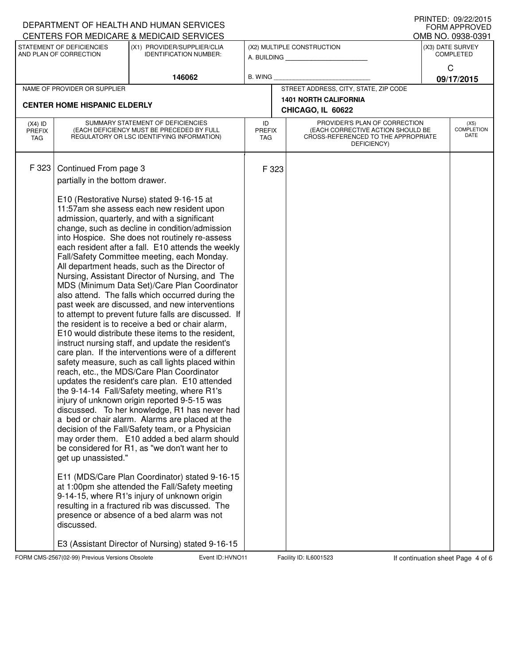|                                   |                                                                                                                              | DEPARTMENT OF HEALTH AND HUMAN SERVICES<br>CENTERS FOR MEDICARE & MEDICAID SERVICES                                                                                                                                                                                                                                                                                                                                                                                                                                                                                                                                                                                                                                                                                                                                                                                                                                                                                                                                                                                                                                                                                                                                                                                                                                                                                                                                                                                                                                                                                                                                                                                                                           |                                   |                                                   |                                                                                                                          |                                          | U ININTED. <i>UJIEEI</i> LUIJ<br><b>FORM APPROVED</b> |  |  |  |
|-----------------------------------|------------------------------------------------------------------------------------------------------------------------------|---------------------------------------------------------------------------------------------------------------------------------------------------------------------------------------------------------------------------------------------------------------------------------------------------------------------------------------------------------------------------------------------------------------------------------------------------------------------------------------------------------------------------------------------------------------------------------------------------------------------------------------------------------------------------------------------------------------------------------------------------------------------------------------------------------------------------------------------------------------------------------------------------------------------------------------------------------------------------------------------------------------------------------------------------------------------------------------------------------------------------------------------------------------------------------------------------------------------------------------------------------------------------------------------------------------------------------------------------------------------------------------------------------------------------------------------------------------------------------------------------------------------------------------------------------------------------------------------------------------------------------------------------------------------------------------------------------------|-----------------------------------|---------------------------------------------------|--------------------------------------------------------------------------------------------------------------------------|------------------------------------------|-------------------------------------------------------|--|--|--|
|                                   | STATEMENT OF DEFICIENCIES                                                                                                    | (X1) PROVIDER/SUPPLIER/CLIA                                                                                                                                                                                                                                                                                                                                                                                                                                                                                                                                                                                                                                                                                                                                                                                                                                                                                                                                                                                                                                                                                                                                                                                                                                                                                                                                                                                                                                                                                                                                                                                                                                                                                   |                                   |                                                   | (X2) MULTIPLE CONSTRUCTION                                                                                               | OMB NO. 0938-0391<br>(X3) DATE SURVEY    |                                                       |  |  |  |
|                                   | AND PLAN OF CORRECTION                                                                                                       | <b>IDENTIFICATION NUMBER:</b>                                                                                                                                                                                                                                                                                                                                                                                                                                                                                                                                                                                                                                                                                                                                                                                                                                                                                                                                                                                                                                                                                                                                                                                                                                                                                                                                                                                                                                                                                                                                                                                                                                                                                 |                                   |                                                   | A. BUILDING                                                                                                              | <b>COMPLETED</b><br>C                    |                                                       |  |  |  |
|                                   |                                                                                                                              | 146062                                                                                                                                                                                                                                                                                                                                                                                                                                                                                                                                                                                                                                                                                                                                                                                                                                                                                                                                                                                                                                                                                                                                                                                                                                                                                                                                                                                                                                                                                                                                                                                                                                                                                                        | <b>B. WING</b>                    |                                                   |                                                                                                                          | 09/17/2015                               |                                                       |  |  |  |
|                                   | NAME OF PROVIDER OR SUPPLIER                                                                                                 |                                                                                                                                                                                                                                                                                                                                                                                                                                                                                                                                                                                                                                                                                                                                                                                                                                                                                                                                                                                                                                                                                                                                                                                                                                                                                                                                                                                                                                                                                                                                                                                                                                                                                                               |                                   |                                                   | STREET ADDRESS, CITY, STATE, ZIP CODE                                                                                    |                                          |                                                       |  |  |  |
|                                   | <b>CENTER HOME HISPANIC ELDERLY</b>                                                                                          |                                                                                                                                                                                                                                                                                                                                                                                                                                                                                                                                                                                                                                                                                                                                                                                                                                                                                                                                                                                                                                                                                                                                                                                                                                                                                                                                                                                                                                                                                                                                                                                                                                                                                                               |                                   | <b>1401 NORTH CALIFORNIA</b><br>CHICAGO, IL 60622 |                                                                                                                          |                                          |                                                       |  |  |  |
| $(X4)$ ID<br><b>PREFIX</b><br>TAG | SUMMARY STATEMENT OF DEFICIENCIES<br>(EACH DEFICIENCY MUST BE PRECEDED BY FULL<br>REGULATORY OR LSC IDENTIFYING INFORMATION) |                                                                                                                                                                                                                                                                                                                                                                                                                                                                                                                                                                                                                                                                                                                                                                                                                                                                                                                                                                                                                                                                                                                                                                                                                                                                                                                                                                                                                                                                                                                                                                                                                                                                                                               | ID<br><b>PREFIX</b><br><b>TAG</b> |                                                   | PROVIDER'S PLAN OF CORRECTION<br>(EACH CORRECTIVE ACTION SHOULD BE<br>CROSS-REFERENCED TO THE APPROPRIATE<br>DEFICIENCY) | (X5)<br><b>COMPLETION</b><br><b>DATE</b> |                                                       |  |  |  |
| F 323                             | Continued From page 3<br>partially in the bottom drawer.<br>get up unassisted."<br>discussed.                                | E10 (Restorative Nurse) stated 9-16-15 at<br>11:57am she assess each new resident upon<br>admission, quarterly, and with a significant<br>change, such as decline in condition/admission<br>into Hospice. She does not routinely re-assess<br>each resident after a fall. E10 attends the weekly<br>Fall/Safety Committee meeting, each Monday.<br>All department heads, such as the Director of<br>Nursing, Assistant Director of Nursing, and The<br>MDS (Minimum Data Set)/Care Plan Coordinator<br>also attend. The falls which occurred during the<br>past week are discussed, and new interventions<br>to attempt to prevent future falls are discussed. If<br>the resident is to receive a bed or chair alarm,<br>E10 would distribute these items to the resident,<br>instruct nursing staff, and update the resident's<br>care plan. If the interventions were of a different<br>safety measure, such as call lights placed within<br>reach, etc., the MDS/Care Plan Coordinator<br>updates the resident's care plan. E10 attended<br>the 9-14-14 Fall/Safety meeting, where R1's<br>injury of unknown origin reported 9-5-15 was<br>discussed. To her knowledge, R1 has never had<br>a bed or chair alarm. Alarms are placed at the<br>decision of the Fall/Safety team, or a Physician<br>may order them. E10 added a bed alarm should<br>be considered for R1, as "we don't want her to<br>E11 (MDS/Care Plan Coordinator) stated 9-16-15<br>at 1:00pm she attended the Fall/Safety meeting<br>9-14-15, where R1's injury of unknown origin<br>resulting in a fractured rib was discussed. The<br>presence or absence of a bed alarm was not<br>E3 (Assistant Director of Nursing) stated 9-16-15 |                                   | F 323                                             |                                                                                                                          |                                          |                                                       |  |  |  |

FORM CMS-2567(02-99) Previous Versions Obsolete Event ID: HVNO11 Facility ID: IL6001523 If continuation sheet Page 4 of 6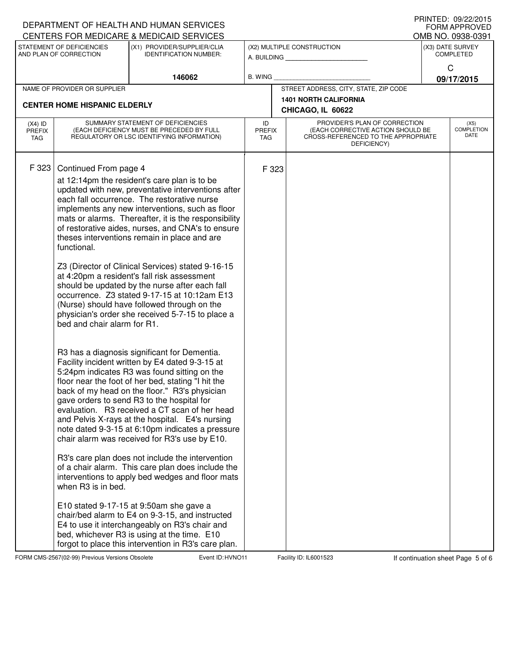| DEPARTMENT OF HEALTH AND HUMAN SERVICES |                                                                                           |                                                                                                                                                                                                                                                                                                                                                                                                                                                                                                                                                                                                                                                                                                                                                                                                                                                                                                                                                                                                                                                                                                                                                                                                                                                                                                                                                                                                                                                                                                                                                                                                                 | FRINTED. UYZZZZUTJ<br><b>FORM APPROVED</b><br>OMB NO. 0938-0391 |                                                   |                                                                                                                          |                                      |                                   |  |  |  |
|-----------------------------------------|-------------------------------------------------------------------------------------------|-----------------------------------------------------------------------------------------------------------------------------------------------------------------------------------------------------------------------------------------------------------------------------------------------------------------------------------------------------------------------------------------------------------------------------------------------------------------------------------------------------------------------------------------------------------------------------------------------------------------------------------------------------------------------------------------------------------------------------------------------------------------------------------------------------------------------------------------------------------------------------------------------------------------------------------------------------------------------------------------------------------------------------------------------------------------------------------------------------------------------------------------------------------------------------------------------------------------------------------------------------------------------------------------------------------------------------------------------------------------------------------------------------------------------------------------------------------------------------------------------------------------------------------------------------------------------------------------------------------------|-----------------------------------------------------------------|---------------------------------------------------|--------------------------------------------------------------------------------------------------------------------------|--------------------------------------|-----------------------------------|--|--|--|
|                                         | STATEMENT OF DEFICIENCIES<br>AND PLAN OF CORRECTION                                       | CENTERS FOR MEDICARE & MEDICAID SERVICES<br>(X1) PROVIDER/SUPPLIER/CLIA<br><b>IDENTIFICATION NUMBER:</b>                                                                                                                                                                                                                                                                                                                                                                                                                                                                                                                                                                                                                                                                                                                                                                                                                                                                                                                                                                                                                                                                                                                                                                                                                                                                                                                                                                                                                                                                                                        |                                                                 |                                                   | (X2) MULTIPLE CONSTRUCTION<br>A. BUILDING                                                                                | (X3) DATE SURVEY<br><b>COMPLETED</b> |                                   |  |  |  |
|                                         |                                                                                           | 146062                                                                                                                                                                                                                                                                                                                                                                                                                                                                                                                                                                                                                                                                                                                                                                                                                                                                                                                                                                                                                                                                                                                                                                                                                                                                                                                                                                                                                                                                                                                                                                                                          | <b>B. WING</b>                                                  |                                                   |                                                                                                                          |                                      | C<br>09/17/2015                   |  |  |  |
|                                         | NAME OF PROVIDER OR SUPPLIER                                                              |                                                                                                                                                                                                                                                                                                                                                                                                                                                                                                                                                                                                                                                                                                                                                                                                                                                                                                                                                                                                                                                                                                                                                                                                                                                                                                                                                                                                                                                                                                                                                                                                                 |                                                                 |                                                   | STREET ADDRESS, CITY, STATE, ZIP CODE                                                                                    |                                      |                                   |  |  |  |
|                                         | <b>CENTER HOME HISPANIC ELDERLY</b>                                                       |                                                                                                                                                                                                                                                                                                                                                                                                                                                                                                                                                                                                                                                                                                                                                                                                                                                                                                                                                                                                                                                                                                                                                                                                                                                                                                                                                                                                                                                                                                                                                                                                                 |                                                                 | <b>1401 NORTH CALIFORNIA</b><br>CHICAGO, IL 60622 |                                                                                                                          |                                      |                                   |  |  |  |
| $(X4)$ ID<br><b>PREFIX</b><br>TAG       |                                                                                           | SUMMARY STATEMENT OF DEFICIENCIES<br>(EACH DEFICIENCY MUST BE PRECEDED BY FULL<br>REGULATORY OR LSC IDENTIFYING INFORMATION)                                                                                                                                                                                                                                                                                                                                                                                                                                                                                                                                                                                                                                                                                                                                                                                                                                                                                                                                                                                                                                                                                                                                                                                                                                                                                                                                                                                                                                                                                    | ID<br><b>PREFIX</b><br>TAG                                      |                                                   | PROVIDER'S PLAN OF CORRECTION<br>(EACH CORRECTIVE ACTION SHOULD BE<br>CROSS-REFERENCED TO THE APPROPRIATE<br>DEFICIENCY) |                                      | (X5)<br><b>COMPLETION</b><br>DATE |  |  |  |
| F 323                                   | Continued From page 4<br>functional.<br>bed and chair alarm for R1.<br>when R3 is in bed. | at 12:14pm the resident's care plan is to be<br>updated with new, preventative interventions after<br>each fall occurrence. The restorative nurse<br>implements any new interventions, such as floor<br>mats or alarms. Thereafter, it is the responsibility<br>of restorative aides, nurses, and CNA's to ensure<br>theses interventions remain in place and are<br>Z3 (Director of Clinical Services) stated 9-16-15<br>at 4:20pm a resident's fall risk assessment<br>should be updated by the nurse after each fall<br>occurrence. Z3 stated 9-17-15 at 10:12am E13<br>(Nurse) should have followed through on the<br>physician's order she received 5-7-15 to place a<br>R3 has a diagnosis significant for Dementia.<br>Facility incident written by E4 dated 9-3-15 at<br>5:24pm indicates R3 was found sitting on the<br>floor near the foot of her bed, stating "I hit the<br>back of my head on the floor." R3's physician<br>gave orders to send R3 to the hospital for<br>evaluation. R3 received a CT scan of her head<br>and Pelvis X-rays at the hospital. E4's nursing<br>note dated 9-3-15 at 6:10pm indicates a pressure<br>chair alarm was received for R3's use by E10.<br>R3's care plan does not include the intervention<br>of a chair alarm. This care plan does include the<br>interventions to apply bed wedges and floor mats<br>E10 stated 9-17-15 at 9:50am she gave a<br>chair/bed alarm to E4 on 9-3-15, and instructed<br>E4 to use it interchangeably on R3's chair and<br>bed, whichever R3 is using at the time. E10<br>forgot to place this intervention in R3's care plan. | F 323                                                           |                                                   |                                                                                                                          |                                      |                                   |  |  |  |

FORM CMS-2567(02-99) Previous Versions Obsolete Event ID: HVNO11 Facility ID: IL6001523 If continuation sheet Page 5 of 6